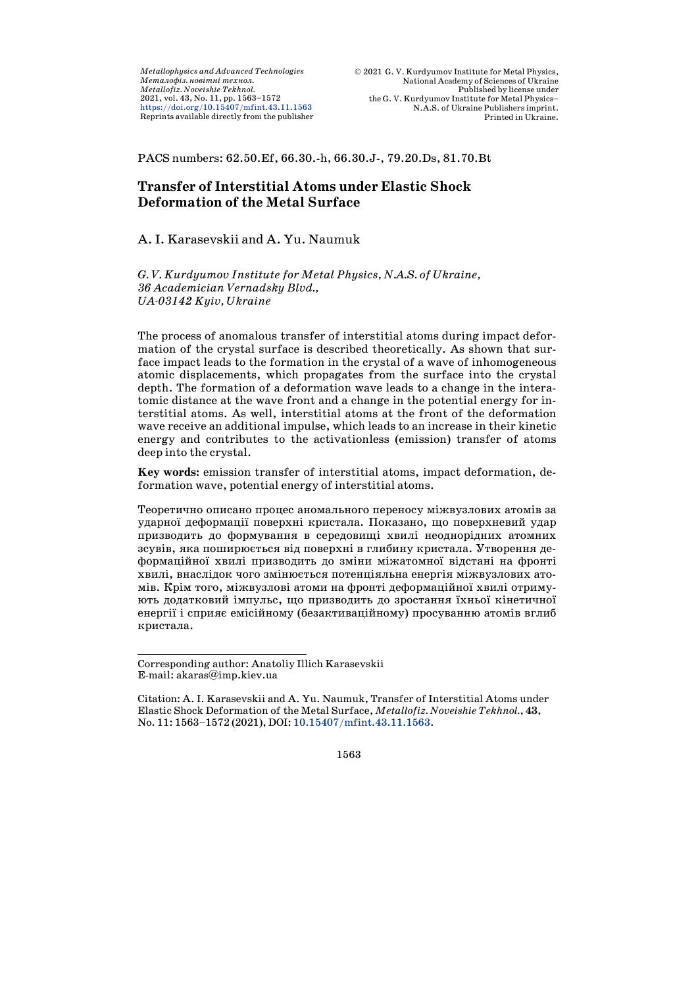*Metallophysics and Advanced Technologies*  $M$ еталофіз. новітні технол. *Metallofiz. Noveishie Tekhnol.* 2021, vol. 43, No. 11, pp. 1563–1572 <https://doi.org/10.15407/mfint.43.11.1563> Reprints available directly from the publisher

PACS numbers: 62.50.Ef, 66.30.-h, 66.30.J-, 79.20.Ds, 81.70.Bt

# **Transfer of Interstitial Atoms under Elastic Shock Deformation of the Metal Surface**

#### A. I. Karasevskii and A. Yu. Naumuk

*G. V. Kurdyumov Institute for Metal Physics, N.A.S. of Ukraine, 36 Academician Vernadsky Blvd., UA-03142 Kyiv, Ukraine*

The process of anomalous transfer of interstitial atoms during impact deformation of the crystal surface is described theoretically. As shown that surface impact leads to the formation in the crystal of a wave of inhomogeneous atomic displacements, which propagates from the surface into the crystal depth. The formation of a deformation wave leads to a change in the interatomic distance at the wave front and a change in the potential energy for interstitial atoms. As well, interstitial atoms at the front of the deformation wave receive an additional impulse, which leads to an increase in their kinetic energy and contributes to the activationless (emission) transfer of atoms deep into the crystal.

**Key words:** emission transfer of interstitial atoms, impact deformation, deformation wave, potential energy of interstitial atoms.

Теоретично описано процес аномального переносу міжвузлових атомів за ударної деформації поверхні кристала. Показано, що поверхневий удар призводить до формування в середовищі хвилі неоднорідних атомних зсувів, яка поширюється від поверхні в глибину кристала. Утворення деформаційної хвилі призводить до зміни міжатомної відстані на фронті хвилі, внаслідок чого змінюється потенціяльна енергія міжвузлових атомів. Крім того, міжвузлові атоми на фронті деформаційної хвилі отримують додатковий імпульс, що призводить до зростання їхньої кінетичної енергії і сприяє емісійному (безактиваційному) просуванню атомів вглиб кристала.

 Corresponding author: Anatoliy Illich Karasevskii E-mail: akaras@imp.kiev.ua

Citation: A. I. Karasevskii and A. Yu. Naumuk, Transfer of Interstitial Atoms under Elastic Shock Deformation of the Metal Surface, *Metallofiz. Noveishie Tekhnol.*, **43**, No. 11: 1563–1572 (2021), DOI: [10.15407/mfint.43.11.1563.](https://doi.org/10.15407/mfint.43.11.1563)

<sup>1563</sup>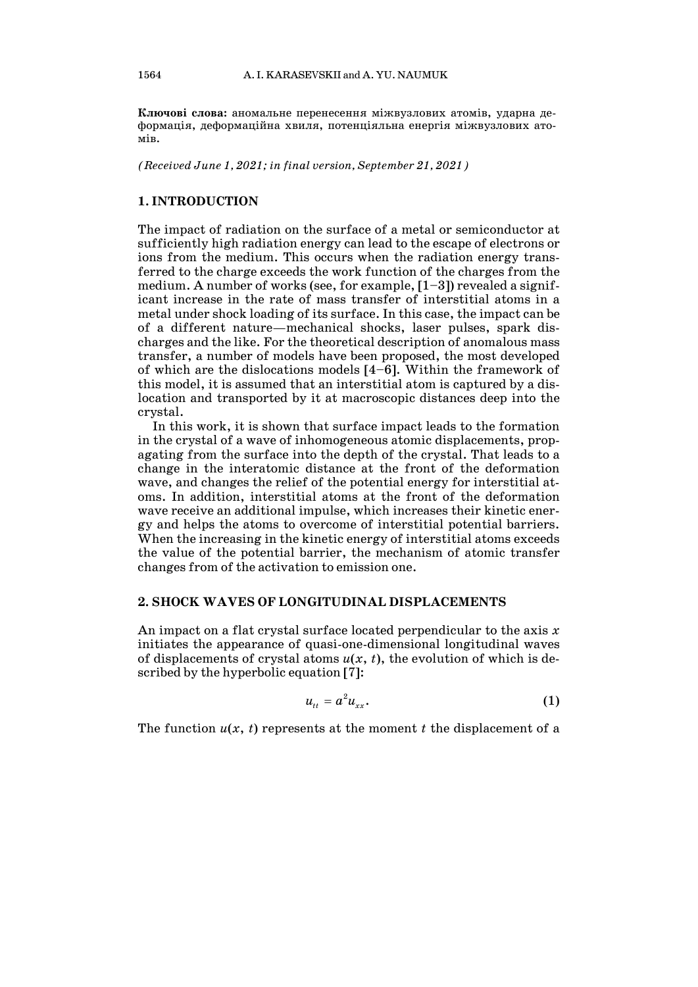**Ключові слова:** аномальне перенесення міжвузлових атомів, ударна деформація, деформаційна хвиля, потенціяльна енергія міжвузлових атомів.

*(Received June 1, 2021; in final version, September 21, 2021)*

### **1. INTRODUCTION**

The impact of radiation on the surface of a metal or semiconductor at sufficiently high radiation energy can lead to the escape of electrons or ions from the medium. This occurs when the radiation energy transferred to the charge exceeds the work function of the charges from the medium. A number of works (see, for example,  $[1-3]$ ) revealed a significant increase in the rate of mass transfer of interstitial atoms in a metal under shock loading of its surface. In this case, the impact can be of a different nature—mechanical shocks, laser pulses, spark discharges and the like. For the theoretical description of anomalous mass transfer, a number of models have been proposed, the most developed of which are the dislocations models [4–6]. Within the framework of this model, it is assumed that an interstitial atom is captured by a dislocation and transported by it at macroscopic distances deep into the crystal.

In this work, it is shown that surface impact leads to the formation in the crystal of a wave of inhomogeneous atomic displacements, propagating from the surface into the depth of the crystal. That leads to a change in the interatomic distance at the front of the deformation wave, and changes the relief of the potential energy for interstitial atoms. In addition, interstitial atoms at the front of the deformation wave receive an additional impulse, which increases their kinetic energy and helps the atoms to overcome of interstitial potential barriers. When the increasing in the kinetic energy of interstitial atoms exceeds the value of the potential barrier, the mechanism of atomic transfer changes from of the activation to emission one.

#### **2. SHOCK WAVES OF LONGITUDINAL DISPLACEMENTS**

An impact on a flat crystal surface located perpendicular to the axis *x* initiates the appearance of quasi-one-dimensional longitudinal waves of displacements of crystal atoms  $u(x, t)$ , the evolution of which is described by the hyperbolic equation [7]:

$$
u_{tt} = a^2 u_{xx}.
$$
 (1)

The function  $u(x, t)$  represents at the moment *t* the displacement of a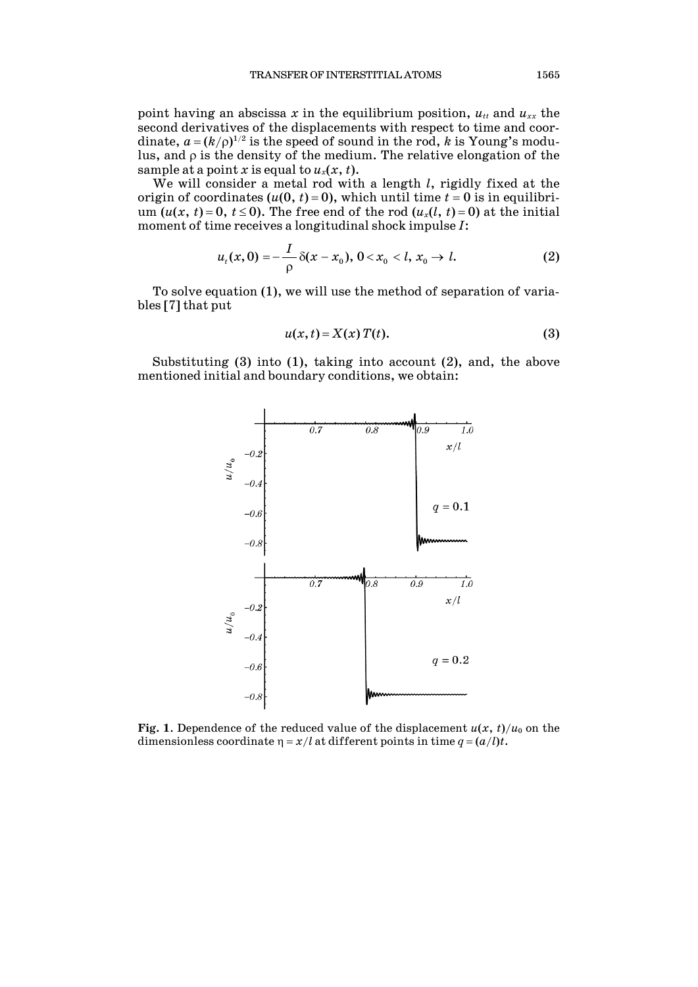point having an abscissa  $x$  in the equilibrium position,  $u_{tt}$  and  $u_{xx}$  the second derivatives of the displacements with respect to time and coordinate,  $a = (k/\rho)^{1/2}$  is the speed of sound in the rod,  $k$  is Young's modulus, and ρ is the density of the medium. The relative elongation of the sample at a point *x* is equal to  $u_x(x, t)$ .

We will consider a metal rod with a length *l*, rigidly fixed at the origin of coordinates  $(u(0, t) = 0)$ , which until time  $t = 0$  is in equilibrium  $(u(x, t) = 0, t \le 0)$ . The free end of the rod  $(u_x(l, t) = 0)$  at the initial moment of time receives a longitudinal shock impulse *I*:

$$
u_t(x,0) = -\frac{I}{\rho} \delta(x-x_0), \ 0 < x_0 < l, \ x_0 \to l. \tag{2}
$$

To solve equation (1), we will use the method of separation of variables [7] that put

$$
u(x,t) = X(x) T(t).
$$
 (3)

Substituting (3) into (1), taking into account (2), and, the above mentioned initial and boundary conditions, we obtain:



**Fig.** 1. Dependence of the reduced value of the displacement  $u(x, t)/u_0$  on the dimensionless coordinate  $\eta = x/l$  at different points in time  $q = (a/l)t$ .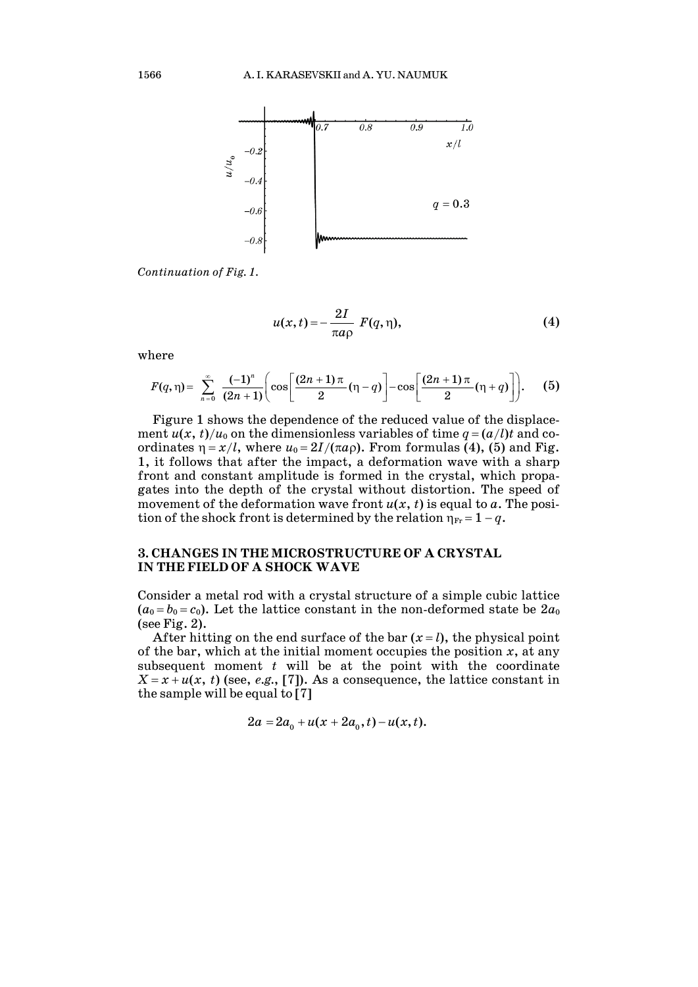

*Continuation of Fig. 1.*

$$
u(x,t) = -\frac{2I}{\pi a \rho} F(q,\eta), \qquad (4)
$$

where

$$
F(q,\eta) = \sum_{n=0}^{\infty} \frac{(-1)^n}{(2n+1)} \bigg( \cos \bigg[ \frac{(2n+1)\pi}{2} (\eta-q) \bigg] - \cos \bigg[ \frac{(2n+1)\pi}{2} (\eta+q) \bigg] \bigg).
$$
 (5)

Figure 1 shows the dependence of the reduced value of the displacement  $u(x, t)/u_0$  on the dimensionless variables of time  $q = (a/l)t$  and coordinates  $\eta = x/l$ , where  $u_0 = 2I/(\pi a \rho)$ . From formulas (4), (5) and Fig. 1, it follows that after the impact, a deformation wave with a sharp front and constant amplitude is formed in the crystal, which propagates into the depth of the crystal without distortion. The speed of movement of the deformation wave front  $u(x, t)$  is equal to  $a$ . The position of the shock front is determined by the relation  $\eta_{Fr} = 1 - q$ .

#### **3. CHANGES IN THE MICROSTRUCTURE OF A CRYSTAL IN THE FIELD OF A SHOCK WAVE**

Consider a metal rod with a crystal structure of a simple cubic lattice  $(a_0 = b_0 = c_0)$ . Let the lattice constant in the non-deformed state be  $2a_0$ (see Fig. 2).

After hitting on the end surface of the bar  $(x = l)$ , the physical point of the bar, which at the initial moment occupies the position  $x$ , at any subsequent moment *t* will be at the point with the coordinate  $X = x + u(x, t)$  (see, *e.g.*, [7]). As a consequence, the lattice constant in the sample will be equal to [7]

$$
2a = 2a_0 + u(x + 2a_0, t) - u(x, t).
$$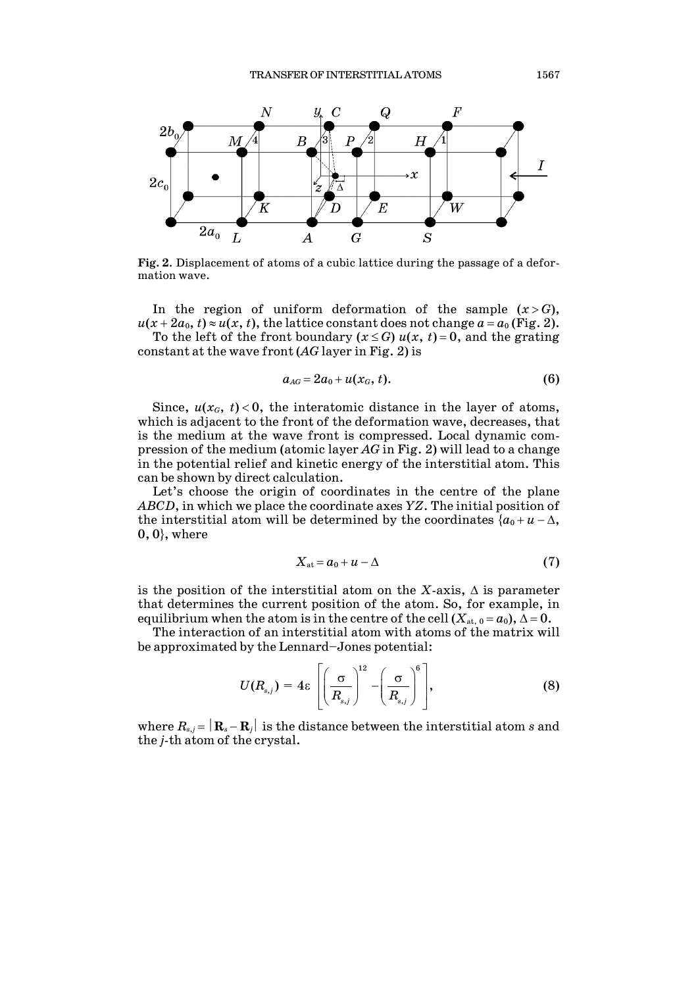

**Fig. 2**. Displacement of atoms of a cubic lattice during the passage of a deformation wave.

In the region of uniform deformation of the sample  $(x > G)$ ,  $u(x+2a_0, t) \approx u(x, t)$ , the lattice constant does not change  $a = a_0$  (Fig. 2).

To the left of the front boundary  $(x \leq G)$   $u(x, t) = 0$ , and the grating constant at the wave front (*AG* layer in Fig. 2) is

$$
a_{AG}=2a_0+u(x_G,t). \hspace{1.5cm} (6)
$$

Since,  $u(x_G, t) < 0$ , the interatomic distance in the layer of atoms, which is adjacent to the front of the deformation wave, decreases, that is the medium at the wave front is compressed. Local dynamic compression of the medium (atomic layer *AG* in Fig. 2) will lead to a change in the potential relief and kinetic energy of the interstitial atom. This can be shown by direct calculation.

Let's choose the origin of coordinates in the centre of the plane *ABCD*, in which we place the coordinate axes *YZ*. The initial position of the interstitial atom will be determined by the coordinates  ${a_0 + u - \Delta}$ ,  $0, 0$ , where

$$
X_{\text{at}} = a_0 + u - \Delta \tag{7}
$$

is the position of the interstitial atom on the *X*-axis,  $\Delta$  is parameter that determines the current position of the atom. So, for example, in equilibrium when the atom is in the centre of the cell  $(X_{at,0} = a_0)$ ,  $\Delta = 0$ .

The interaction of an interstitial atom with atoms of the matrix will be approximated by the Lennard–Jones potential:

$$
U(R_{s,j}) = 4\varepsilon \left[ \left( \frac{\sigma}{R_{s,j}} \right)^{12} - \left( \frac{\sigma}{R_{s,j}} \right)^6 \right],
$$
 (8)

where  $R_{s,j} = |\mathbf{R}_s - \mathbf{R}_j|$  is the distance between the interstitial atom *s* and the *j*-th atom of the crystal.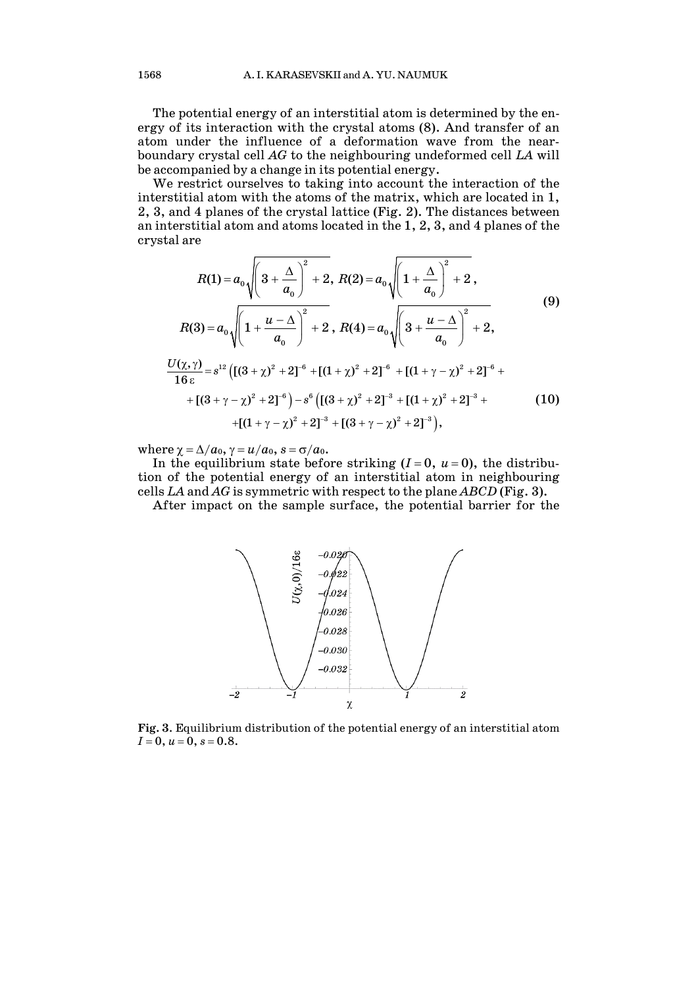The potential energy of an interstitial atom is determined by the energy of its interaction with the crystal atoms (8). And transfer of an atom under the influence of a deformation wave from the nearboundary crystal cell *AG* to the neighbouring undeformed cell *LA* will be accompanied by a change in its potential energy.

We restrict ourselves to taking into account the interaction of the interstitial atom with the atoms of the matrix, which are located in 1, 2, 3, and 4 planes of the crystal lattice (Fig. 2). The distances between an interstitial atom and atoms located in the 1, 2, 3, and 4 planes of the crystal are

$$
R(1) = a_0 \sqrt{\left(3 + \frac{\Delta}{a_0}\right)^2 + 2}, R(2) = a_0 \sqrt{\left(1 + \frac{\Delta}{a_0}\right)^2 + 2},
$$
  
\n
$$
R(3) = a_0 \sqrt{\left(1 + \frac{u - \Delta}{a_0}\right)^2 + 2}, R(4) = a_0 \sqrt{\left(3 + \frac{u - \Delta}{a_0}\right)^2 + 2},
$$
  
\n
$$
\frac{U(\chi, \gamma)}{16 \epsilon} = s^{12} \left(\left[(3 + \chi)^2 + 2\right]^{-6} + \left[(1 + \chi)^2 + 2\right]^{-6} + \left[(1 + \gamma - \chi)^2 + 2\right]^{-6} + \left[(3 + \gamma - \chi)^2 + 2\right]^{-6}\right) - s^6 \left(\left[(3 + \chi)^2 + 2\right]^{-3} + \left[(1 + \chi)^2 + 2\right]^{-3} + \left[(1 + \gamma - \chi)^2 + 2\right]^{-3}\right),
$$
\n(10)

where  $\chi = \Delta/a_0$ ,  $\gamma = u/a_0$ ,  $s = \sigma/a_0$ .

In the equilibrium state before striking  $(I=0, u=0)$ , the distribution of the potential energy of an interstitial atom in neighbouring cells *LA* and *AG* is symmetric with respect to the plane *ABCD* (Fig. 3).

After impact on the sample surface, the potential barrier for the



**Fig. 3**. Equilibrium distribution of the potential energy of an interstitial atom *I* = 0, *u* = 0, *s* = 0.8.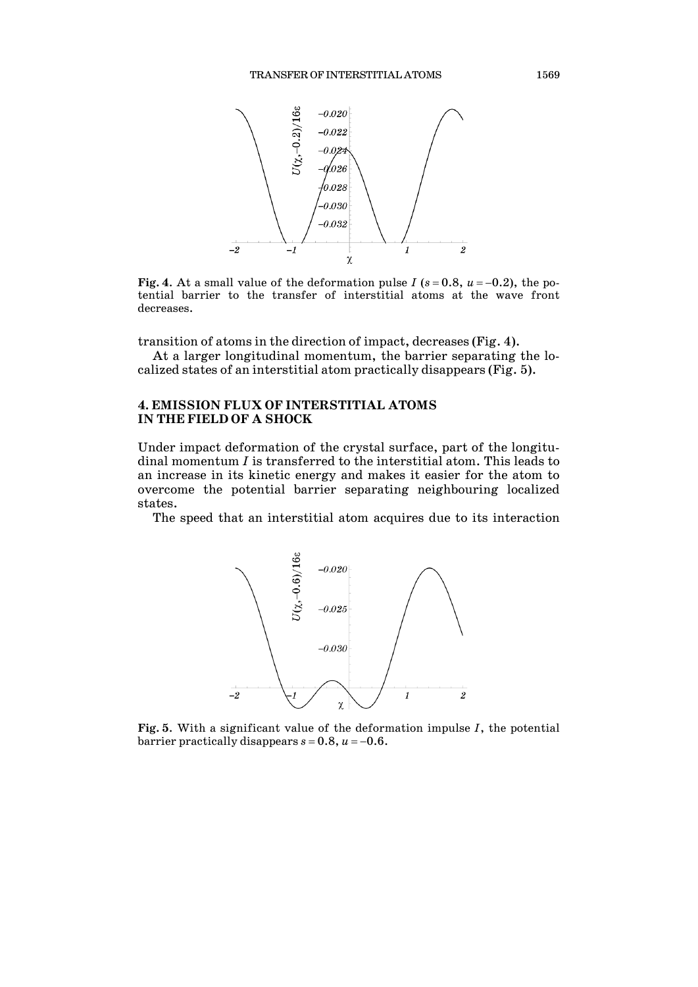

**Fig. 4.** At a small value of the deformation pulse *I* ( $s = 0.8$ ,  $u = -0.2$ ), the potential barrier to the transfer of interstitial atoms at the wave front decreases.

transition of atoms in the direction of impact, decreases (Fig. 4).

At a larger longitudinal momentum, the barrier separating the localized states of an interstitial atom practically disappears (Fig. 5).

## **4. EMISSION FLUX OF INTERSTITIAL ATOMS IN THE FIELD OF A SHOCK**

Under impact deformation of the crystal surface, part of the longitudinal momentum *I* is transferred to the interstitial atom. This leads to an increase in its kinetic energy and makes it easier for the atom to overcome the potential barrier separating neighbouring localized states.

The speed that an interstitial atom acquires due to its interaction



**Fig. 5**. With a significant value of the deformation impulse *I*, the potential barrier practically disappears  $s = 0.8$ ,  $u = -0.6$ .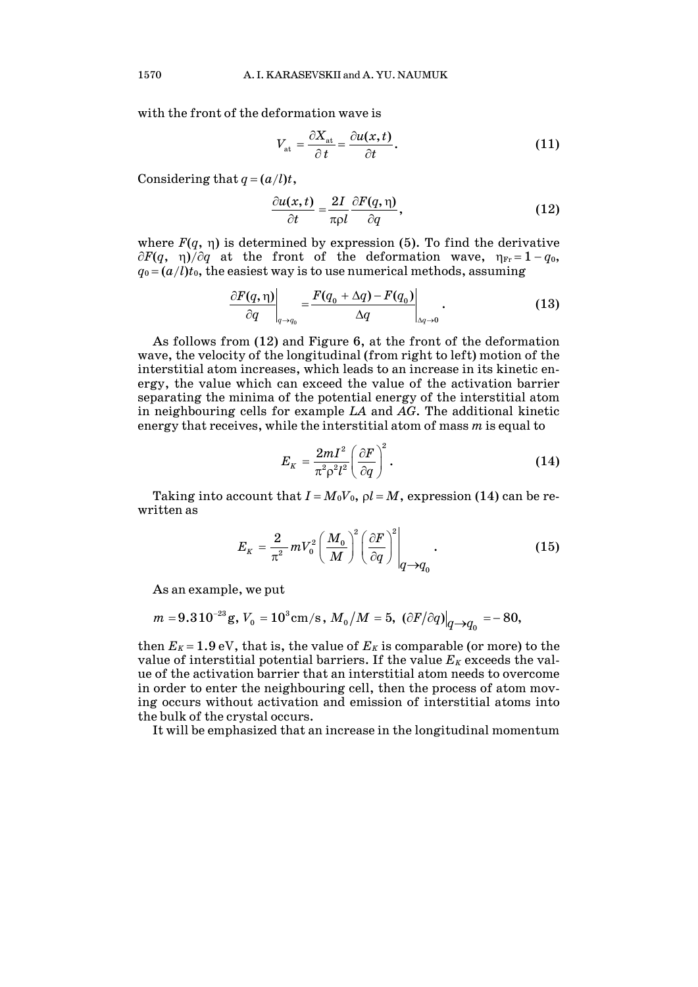with the front of the deformation wave is

$$
V_{\rm at} = \frac{\partial X_{\rm at}}{\partial t} = \frac{\partial u(x, t)}{\partial t}.
$$
 (11)

Considering that  $q = (a/l)t$ ,

$$
\frac{\partial u(x,t)}{\partial t} = \frac{2I}{\pi \rho l} \frac{\partial F(q,\eta)}{\partial q},\qquad(12)
$$

where  $F(q, \eta)$  is determined by expression (5). To find the derivative  $∂F(q, η)/∂q$  at the front of the deformation wave,  $η<sub>Fr</sub> = 1 - q<sub>0</sub>$ ,  $q_0 = (a/l)t_0$ , the easiest way is to use numerical methods, assuming

$$
\left.\frac{\partial F(q,\eta)}{\partial q}\right|_{q\to q_0} = \frac{F(q_0 + \Delta q) - F(q_0)}{\Delta q}\Big|_{\Delta q\to 0}.
$$
 (13)

As follows from (12) and Figure 6, at the front of the deformation wave, the velocity of the longitudinal (from right to left) motion of the interstitial atom increases, which leads to an increase in its kinetic energy, the value which can exceed the value of the activation barrier separating the minima of the potential energy of the interstitial atom in neighbouring cells for example *LA* and *AG*. The additional kinetic energy that receives, while the interstitial atom of mass *m* is equal to

$$
E_K = \frac{2mI^2}{\pi^2 \rho^2 l^2} \left(\frac{\partial F}{\partial q}\right)^2.
$$
 (14)

Taking into account that  $I = M_0V_0$ ,  $\rho l = M$ , expression (14) can be rewritten as

$$
E_K = \frac{2}{\pi^2} m V_0^2 \left(\frac{M_0}{M}\right)^2 \left(\frac{\partial F}{\partial q}\right)^2 \Big|_{q \to q_0} . \tag{15}
$$

As an example, we put

$$
m=9.3\,10^{-23}\,{\rm g},\,V_{_0}=10^3\,{\rm cm/s}\,,\,M_{_0}/M=5,\,\left.\left(\partial{F}/\partial{q}\right)\right|_{q\longrightarrow q_{_0}}=-\,80,
$$

then  $E_K = 1.9$  eV, that is, the value of  $E_K$  is comparable (or more) to the value of interstitial potential barriers. If the value  $E_K$  exceeds the value of the activation barrier that an interstitial atom needs to overcome in order to enter the neighbouring cell, then the process of atom moving occurs without activation and emission of interstitial atoms into the bulk of the crystal occurs.

It will be emphasized that an increase in the longitudinal momentum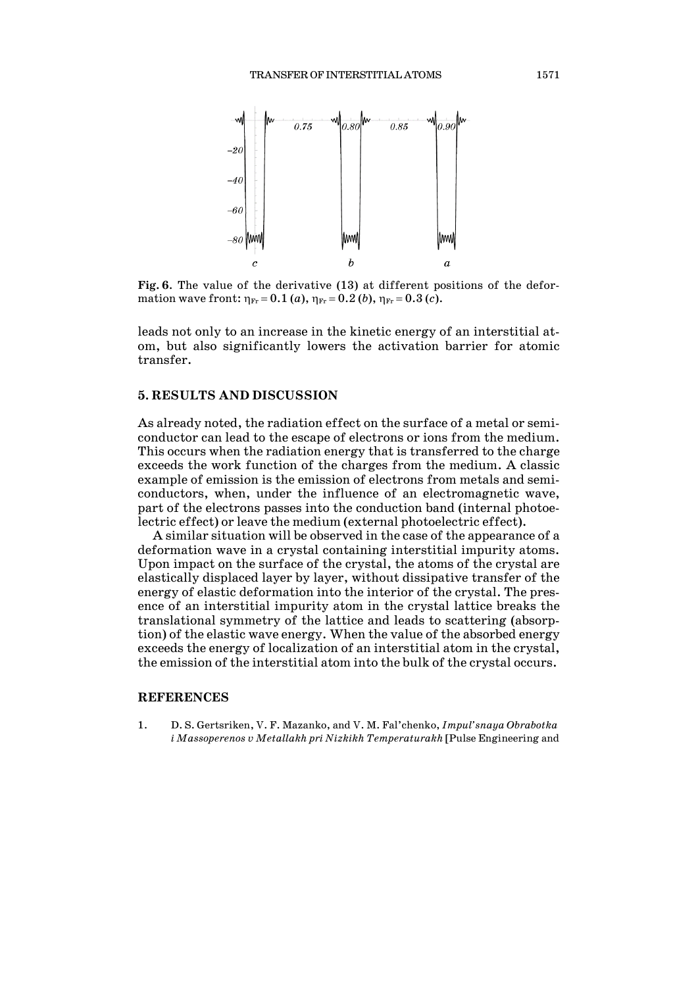

**Fig. 6**. The value of the derivative (13) at different positions of the deformation wave front:  $\eta_{\text{Fr}} = 0.1$  (*a*),  $\eta_{\text{Fr}} = 0.2$  (*b*),  $\eta_{\text{Fr}} = 0.3$  (*c*).

leads not only to an increase in the kinetic energy of an interstitial atom, but also significantly lowers the activation barrier for atomic transfer.

#### **5. RESULTS AND DISCUSSION**

As already noted, the radiation effect on the surface of a metal or semiconductor can lead to the escape of electrons or ions from the medium. This occurs when the radiation energy that is transferred to the charge exceeds the work function of the charges from the medium. A classic example of emission is the emission of electrons from metals and semiconductors, when, under the influence of an electromagnetic wave, part of the electrons passes into the conduction band (internal photoelectric effect) or leave the medium (external photoelectric effect).

A similar situation will be observed in the case of the appearance of a deformation wave in a crystal containing interstitial impurity atoms. Upon impact on the surface of the crystal, the atoms of the crystal are elastically displaced layer by layer, without dissipative transfer of the energy of elastic deformation into the interior of the crystal. The presence of an interstitial impurity atom in the crystal lattice breaks the translational symmetry of the lattice and leads to scattering (absorption) of the elastic wave energy. When the value of the absorbed energy exceeds the energy of localization of an interstitial atom in the crystal, the emission of the interstitial atom into the bulk of the crystal occurs.

### **REFERENCES**

1. D. S. Gertsriken, V. F. Mazanko, and V. M. Fal'chenko, *Impul'snaya Obrabotka i Massoperenos v Metallakh pri Nizkikh Temperaturakh* [Pulse Engineering and